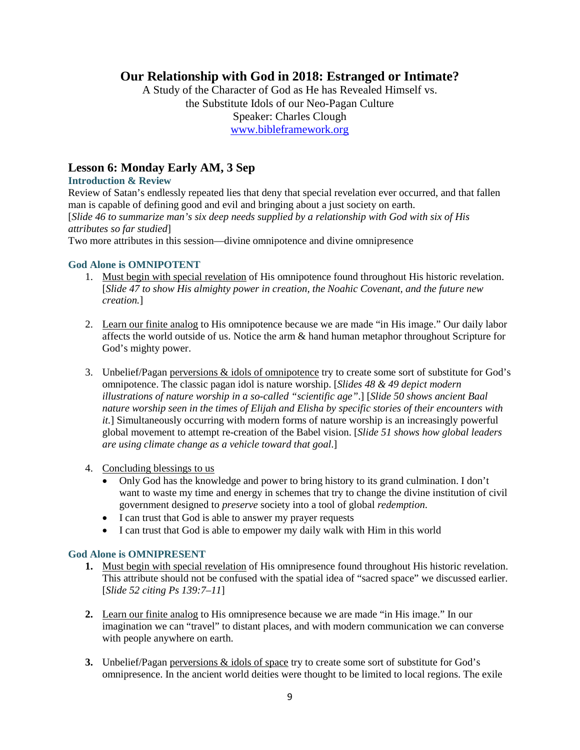# **Our Relationship with God in 2018: Estranged or Intimate?**

A Study of the Character of God as He has Revealed Himself vs. the Substitute Idols of our Neo-Pagan Culture Speaker: Charles Clough [www.bibleframework.org](http://www.bibleframework.org/)

# **Lesson 6: Monday Early AM, 3 Sep**

#### **Introduction & Review**

Review of Satan's endlessly repeated lies that deny that special revelation ever occurred, and that fallen man is capable of defining good and evil and bringing about a just society on earth. [*Slide 46 to summarize man's six deep needs supplied by a relationship with God with six of His attributes so far studied*] Two more attributes in this session—divine omnipotence and divine omnipresence

#### **God Alone is OMNIPOTENT**

- 1. Must begin with special revelation of His omnipotence found throughout His historic revelation. [*Slide 47 to show His almighty power in creation, the Noahic Covenant, and the future new creation.*]
- 2. Learn our finite analog to His omnipotence because we are made "in His image." Our daily labor affects the world outside of us. Notice the arm & hand human metaphor throughout Scripture for God's mighty power.
- 3. Unbelief/Pagan perversions & idols of omnipotence try to create some sort of substitute for God's omnipotence. The classic pagan idol is nature worship. [*Slides 48 & 49 depict modern illustrations of nature worship in a so-called "scientific age"*.] [*Slide 50 shows ancient Baal nature worship seen in the times of Elijah and Elisha by specific stories of their encounters with it.*] Simultaneously occurring with modern forms of nature worship is an increasingly powerful global movement to attempt re-creation of the Babel vision. [*Slide 51 shows how global leaders are using climate change as a vehicle toward that goal*.]
- 4. Concluding blessings to us
	- Only God has the knowledge and power to bring history to its grand culmination. I don't want to waste my time and energy in schemes that try to change the divine institution of civil government designed to *preserve* society into a tool of global *redemption*.
	- I can trust that God is able to answer my prayer requests
	- I can trust that God is able to empower my daily walk with Him in this world

### **God Alone is OMNIPRESENT**

- **1.** Must begin with special revelation of His omnipresence found throughout His historic revelation. This attribute should not be confused with the spatial idea of "sacred space" we discussed earlier. [*Slide 52 citing Ps 139:7–11*]
- **2.** Learn our finite analog to His omnipresence because we are made "in His image." In our imagination we can "travel" to distant places, and with modern communication we can converse with people anywhere on earth.
- **3.** Unbelief/Pagan perversions & idols of space try to create some sort of substitute for God's omnipresence. In the ancient world deities were thought to be limited to local regions. The exile